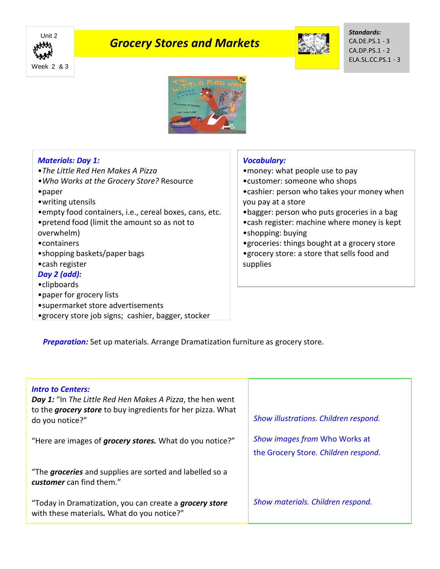

# *Grocery Stores and Markets*



*Standards:* CA.DE.PS.1 - 3 CA.DP.PS.1 - 2 ELA.SL.CC.PS.1 - 3



## *Materials: Day 1:*

- •*The Little Red Hen Makes A Pizza*
- *•Who Works at the Grocery Store?* Resource
- •paper
- •writing utensils
- •empty food containers, i.e., cereal boxes, cans, etc.
- •pretend food (limit the amount so as not to overwhelm)
- •containers
- •shopping baskets/paper bags
- •cash register

## *Day 2 (add):*

- •clipboards
- •paper for grocery lists
- •supermarket store advertisements
- •grocery store job signs; cashier, bagger, stocker

#### *Vocabulary:*

- •money: what people use to pay
- •customer: someone who shops
- •cashier: person who takes your money when you pay at a store
- •bagger: person who puts groceries in a bag
- •cash register: machine where money is kept
- •shopping: buying

•groceries: things bought at a grocery store •grocery store: a store that sells food and supplies

**Preparation:** Set up materials. Arrange Dramatization furniture as grocery store.

| <b>Intro to Centers:</b><br>Day 1: "In The Little Red Hen Makes A Pizza, the hen went<br>to the <i>grocery store</i> to buy ingredients for her pizza. What<br>do you notice?" | Show illustrations. Children respond.                                 |
|--------------------------------------------------------------------------------------------------------------------------------------------------------------------------------|-----------------------------------------------------------------------|
| "Here are images of <i>grocery stores</i> . What do you notice?"                                                                                                               | Show images from Who Works at<br>the Grocery Store. Children respond. |
| "The groceries and supplies are sorted and labelled so a<br>customer can find them."                                                                                           |                                                                       |
| "Today in Dramatization, you can create a <i>grocery store</i><br>with these materials. What do you notice?"                                                                   | Show materials. Children respond.                                     |
|                                                                                                                                                                                |                                                                       |